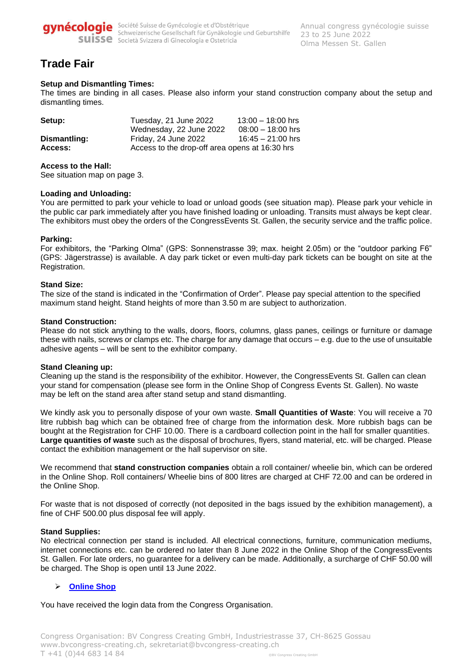

gynécologie Société Suisse de Gynécologie et d'Obstétrique<br>Schweizerische Gesellschaft für Gynäkologie und Geburtshilfe Suisse Società Svizzera di Ginecologia e Ostetricia

# **Trade Fair**

# **Setup and Dismantling Times:**

The times are binding in all cases. Please also inform your stand construction company about the setup and dismantling times.

| Setup:       | Tuesday, 21 June 2022                          | $13:00 - 18:00$ hrs |
|--------------|------------------------------------------------|---------------------|
|              | Wednesday, 22 June 2022                        | $08:00 - 18:00$ hrs |
| Dismantling: | Friday, 24 June 2022                           | $16:45 - 21:00$ hrs |
| Access:      | Access to the drop-off area opens at 16:30 hrs |                     |

#### **Access to the Hall:**

See situation map on page 3.

#### **Loading and Unloading:**

You are permitted to park your vehicle to load or unload goods (see situation map). Please park your vehicle in the public car park immediately after you have finished loading or unloading. Transits must always be kept clear. The exhibitors must obey the orders of the CongressEvents St. Gallen, the security service and the traffic police.

# **Parking:**

For exhibitors, the "Parking Olma" (GPS: Sonnenstrasse 39; max. height 2.05m) or the "outdoor parking F6" (GPS: Jägerstrasse) is available. A day park ticket or even multi-day park tickets can be bought on site at the Registration.

# **Stand Size:**

The size of the stand is indicated in the "Confirmation of Order". Please pay special attention to the specified maximum stand height. Stand heights of more than 3.50 m are subject to authorization.

# **Stand Construction:**

Please do not stick anything to the walls, doors, floors, columns, glass panes, ceilings or furniture or damage these with nails, screws or clamps etc. The charge for any damage that occurs – e.g. due to the use of unsuitable adhesive agents – will be sent to the exhibitor company.

# **Stand Cleaning up:**

Cleaning up the stand is the responsibility of the exhibitor. However, the CongressEvents St. Gallen can clean your stand for compensation (please see form in the Online Shop of Congress Events St. Gallen). No waste may be left on the stand area after stand setup and stand dismantling.

We kindly ask you to personally dispose of your own waste. **Small Quantities of Waste**: You will receive a 70 litre rubbish bag which can be obtained free of charge from the information desk. More rubbish bags can be bought at the Registration for CHF 10.00. There is a cardboard collection point in the hall for smaller quantities. **Large quantities of waste** such as the disposal of brochures, flyers, stand material, etc. will be charged. Please contact the exhibition management or the hall supervisor on site.

We recommend that **stand construction companies** obtain a roll container/ wheelie bin, which can be ordered in the Online Shop. Roll containers/ Wheelie bins of 800 litres are charged at CHF 72.00 and can be ordered in the Online Shop.

For waste that is not disposed of correctly (not deposited in the bags issued by the exhibition management), a fine of CHF 500.00 plus disposal fee will apply.

# **Stand Supplies:**

No electrical connection per stand is included. All electrical connections, furniture, communication mediums, internet connections etc. can be ordered no later than 8 June 2022 in the Online Shop of the CongressEvents St. Gallen. For late orders, no guarantee for a delivery can be made. Additionally, a surcharge of CHF 50.00 will be charged. The Shop is open until 13 June 2022.

# ➢ **[Online Shop](about:blank)**

You have received the login data from the Congress Organisation.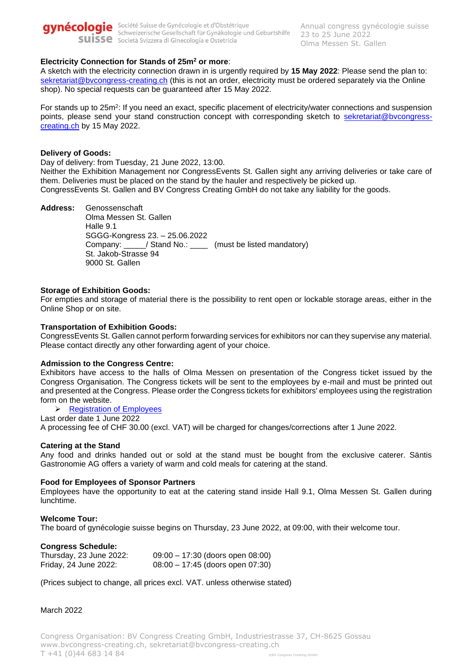

# **Electricity Connection for Stands of 25m<sup>2</sup> or more**:

A sketch with the electricity connection drawn in is urgently required by **15 May 2022**: Please send the plan to: [sekretariat@bvcongress-creating.ch](about:blank) (this is not an order, electricity must be ordered separately via the Online shop). No special requests can be guaranteed after 15 May 2022.

For stands up to 25m<sup>2</sup>: If you need an exact, specific placement of electricity/water connections and suspension points, please send your stand construction concept with corresponding sketch to [sekretariat@bvcongress](about:blank)[creating.ch](about:blank) by 15 May 2022.

#### **Delivery of Goods:**

Day of delivery: from Tuesday, 21 June 2022, 13:00.

Neither the Exhibition Management nor CongressEvents St. Gallen sight any arriving deliveries or take care of them. Deliveries must be placed on the stand by the hauler and respectively be picked up. CongressEvents St. Gallen and BV Congress Creating GmbH do not take any liability for the goods.

**Address:** Genossenschaft Olma Messen St. Gallen Halle 9.1 SGGG-Kongress 23. – 25.06.2022 Company: \_\_\_\_\_/ Stand No.: \_\_\_\_ (must be listed mandatory) St. Jakob-Strasse 94 9000 St. Gallen

#### **Storage of Exhibition Goods:**

For empties and storage of material there is the possibility to rent open or lockable storage areas, either in the Online Shop or on site.

# **Transportation of Exhibition Goods:**

CongressEvents St. Gallen cannot perform forwarding services for exhibitors nor can they supervise any material. Please contact directly any other forwarding agent of your choice.

#### **Admission to the Congress Centre:**

Exhibitors have access to the halls of Olma Messen on presentation of the Congress ticket issued by the Congress Organisation. The Congress tickets will be sent to the employees by e-mail and must be printed out and presented at the Congress. Please order the Congress tickets for exhibitors' employees using the registration form on the website.

➢ Registration [of Employees](about:blank)

Last order date 1 June 2022 A processing fee of CHF 30.00 (excl. VAT) will be charged for changes/corrections after 1 June 2022.

#### **Catering at the Stand**

Any food and drinks handed out or sold at the stand must be bought from the exclusive caterer. Säntis Gastronomie AG offers a variety of warm and cold meals for catering at the stand.

#### **Food for Employees of Sponsor Partners**

Employees have the opportunity to eat at the catering stand inside Hall 9.1, Olma Messen St. Gallen during lunchtime.

#### **Welcome Tour:**

The board of gynécologie suisse begins on Thursday, 23 June 2022, at 09:00, with their welcome tour.

#### **Congress Schedule:**

Thursday, 23 June 2022: 09:00 – 17:30 (doors open 08:00) Friday, 24 June 2022: 08:00 – 17:45 (doors open 07:30)

(Prices subject to change, all prices excl. VAT. unless otherwise stated)

#### March 2022